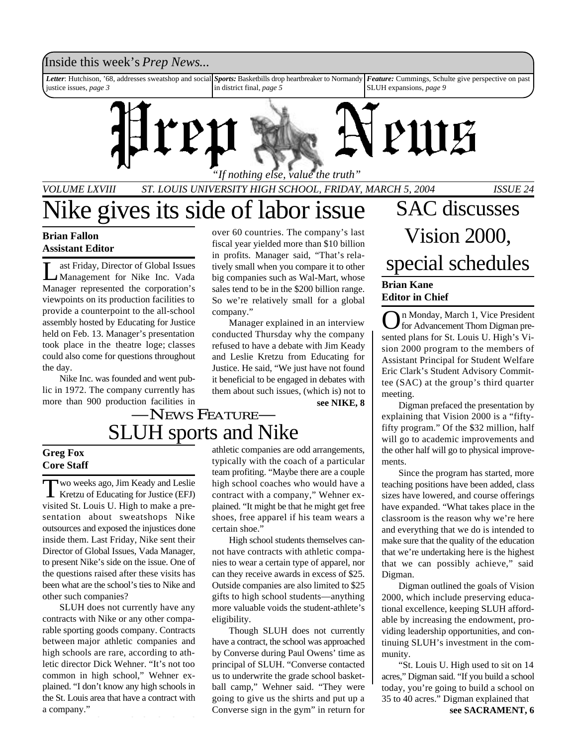### Inside this week's *Prep News*...

*Letter*: Hutchison, '68, addresses sweatshop and social justice issues, *page 3 Sports:* Basketbills drop heartbreaker to Normandy in district final, *page 5 Feature:* Cummings, Schulte give perspective on past SLUH expansions, *page 9*



*VOLUME LXVIII ST. LOUIS UNIVERSITY HIGH SCHOOL, FRIDAY, MARCH 5, 2004 ISSUE 24*

#### **Brian Fallon Assistant Editor**

 $\overline{\mathsf{L}}$ ast Friday, Director of Global Issues Management for Nike Inc. Vada Manager represented the corporation's viewpoints on its production facilities to provide a counterpoint to the all-school assembly hosted by Educating for Justice held on Feb. 13. Manager's presentation took place in the theatre loge; classes could also come for questions throughout the day.

Nike Inc. was founded and went public in 1972. The company currently has more than 900 production facilities in over 60 countries. The company's last fiscal year yielded more than \$10 billion in profits. Manager said, "That's relatively small when you compare it to other big companies such as Wal-Mart, whose sales tend to be in the \$200 billion range. So we're relatively small for a global company."

Manager explained in an interview conducted Thursday why the company refused to have a debate with Jim Keady and Leslie Kretzu from Educating for Justice. He said, "We just have not found it beneficial to be engaged in debates with them about such issues, (which is) not to

**see NIKE, 8**

### SLUH sports and Nike —NEWS FEATURE—

#### **Greg Fox Core Staff**

Two weeks ago, Jim Keady and Leslie<br>
Kretzu of Educating for Justice (EFJ) wo weeks ago, Jim Keady and Leslie visited St. Louis U. High to make a presentation about sweatshops Nike outsources and exposed the injustices done inside them. Last Friday, Nike sent their Director of Global Issues, Vada Manager, to present Nike's side on the issue. One of the questions raised after these visits has been what are the school's ties to Nike and other such companies?

SLUH does not currently have any contracts with Nike or any other comparable sporting goods company. Contracts between major athletic companies and high schools are rare, according to athletic director Dick Wehner. "It's not too common in high school," Wehner explained. "I don't know any high schools in the St. Louis area that have a contract with a company."

athletic companies are odd arrangements, typically with the coach of a particular team profiting. "Maybe there are a couple high school coaches who would have a contract with a company," Wehner explained. "It might be that he might get free shoes, free apparel if his team wears a certain shoe."

High school students themselves cannot have contracts with athletic companies to wear a certain type of apparel, nor can they receive awards in excess of \$25. Outside companies are also limited to \$25 gifts to high school students—anything more valuable voids the student-athlete's eligibility.

Though SLUH does not currently have a contract, the school was approached by Converse during Paul Owens' time as principal of SLUH. "Converse contacted us to underwrite the grade school basketball camp," Wehner said. "They were going to give us the shirts and put up a Converse sign in the gym" in return for **see SACRAMENT, 6** 

### Vike gives its side of labor issue SAC discusses Vision 2000, special schedules **Brian Kane**

#### **Editor in Chief**

O n Monday, March 1, Vice President for Advancement Thom Digman presented plans for St. Louis U. High's Vision 2000 program to the members of Assistant Principal for Student Welfare Eric Clark's Student Advisory Committee (SAC) at the group's third quarter meeting.

Digman prefaced the presentation by explaining that Vision 2000 is a "fiftyfifty program." Of the \$32 million, half will go to academic improvements and the other half will go to physical improvements.

Since the program has started, more teaching positions have been added, class sizes have lowered, and course offerings have expanded. "What takes place in the classroom is the reason why we're here and everything that we do is intended to make sure that the quality of the education that we're undertaking here is the highest that we can possibly achieve," said Digman.

Digman outlined the goals of Vision 2000, which include preserving educational excellence, keeping SLUH affordable by increasing the endowment, providing leadership opportunities, and continuing SLUH's investment in the community.

"St. Louis U. High used to sit on 14 acres," Digman said. "If you build a school today, you're going to build a school on 35 to 40 acres." Digman explained that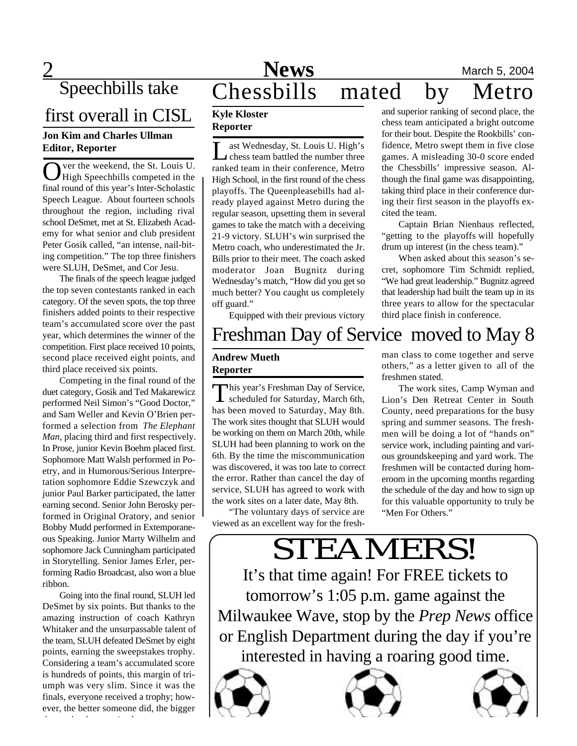Speechbills take

## first overall in CISL

#### **Jon Kim and Charles Ullman Editor, Reporter**

O ver the weekend, the St. Louis U.<br>High Speechbills competed in the<br>final round of this year's Inter-Scholastic ver the weekend, the St. Louis U. High Speechbills competed in the Speech League. About fourteen schools throughout the region, including rival school DeSmet, met at St. Elizabeth Academy for what senior and club president Peter Gosik called, "an intense, nail-biting competition." The top three finishers were SLUH, DeSmet, and Cor Jesu.

The finals of the speech league judged the top seven contestants ranked in each category. Of the seven spots, the top three finishers added points to their respective team's accumulated score over the past year, which determines the winner of the competition. First place received 10 points, second place received eight points, and third place received six points.

Competing in the final round of the duet category, Gosik and Ted Makarewicz performed Neil Simon's "Good Doctor," and Sam Weller and Kevin O'Brien performed a selection from *The Elephant Man*, placing third and first respectively. In Prose, junior Kevin Boehm placed first. Sophomore Matt Walsh performed in Poetry, and in Humorous/Serious Interpretation sophomore Eddie Szewczyk and junior Paul Barker participated, the latter earning second. Senior John Berosky performed in Original Oratory, and senior Bobby Mudd performed in Extemporaneous Speaking. Junior Marty Wilhelm and sophomore Jack Cunningham participated in Storytelling. Senior James Erler, performing Radio Broadcast, also won a blue ribbon.

Going into the final round, SLUH led DeSmet by six points. But thanks to the amazing instruction of coach Kathryn Whitaker and the unsurpassable talent of the team, SLUH defeated DeSmet by eight points, earning the sweepstakes trophy. Considering a team's accumulated score is hundreds of points, this margin of triumph was very slim. Since it was the finals, everyone received a trophy; however, the better someone did, the bigger

the trophy they received.

### **2** Mews March 5, 2004 Chessbills mated by Metro

#### **Kyle Kloster Reporter**

L ast Wednesday, St. Louis U. High's chess team battled the number three ranked team in their conference, Metro High School, in the first round of the chess playoffs. The Queenpleasebills had already played against Metro during the regular season, upsetting them in several games to take the match with a deceiving 21-9 victory. SLUH's win surprised the Metro coach, who underestimated the Jr. Bills prior to their meet. The coach asked moderator Joan Bugnitz during Wednesday's match, "How did you get so much better? You caught us completely off guard."

Equipped with their previous victory

### Freshman Day of Service moved to May 8

#### **Andrew Mueth Reporter**

This year's Freshman Day of Service,<br>scheduled for Saturday, March 6th, scheduled for Saturday, March 6th, has been moved to Saturday, May 8th. The work sites thought that SLUH would be working on them on March 20th, while SLUH had been planning to work on the 6th. By the time the miscommunication was discovered, it was too late to correct the error. Rather than cancel the day of service, SLUH has agreed to work with the work sites on a later date, May 8th.

"The voluntary days of service are viewed as an excellent way for the freshman class to come together and serve others," as a letter given to all of the freshmen stated.

The work sites, Camp Wyman and Lion's Den Retreat Center in South County, need preparations for the busy spring and summer seasons. The freshmen will be doing a lot of "hands on" service work, including painting and various groundskeeping and yard work. The freshmen will be contacted during homeroom in the upcoming months regarding the schedule of the day and how to sign up for this valuable opportunity to truly be "Men For Others."

### STEAMERS! It's that time again! For FREE tickets to tomorrow's 1:05 p.m. game against the Milwaukee Wave, stop by the *Prep News* office or English Department during the day if you're

interested in having a roaring good time.







and superior ranking of second place, the chess team anticipated a bright outcome for their bout. Despite the Rookbills' confidence, Metro swept them in five close games. A misleading 30-0 score ended the Chessbills' impressive season. Although the final game was disappointing, taking third place in their conference during their first season in the playoffs excited the team.

Captain Brian Nienhaus reflected, "getting to the playoffs will hopefully drum up interest (in the chess team)."

When asked about this season's secret, sophomore Tim Schmidt replied, "We had great leadership." Bugnitz agreed that leadership had built the team up in its three years to allow for the spectacular third place finish in conference.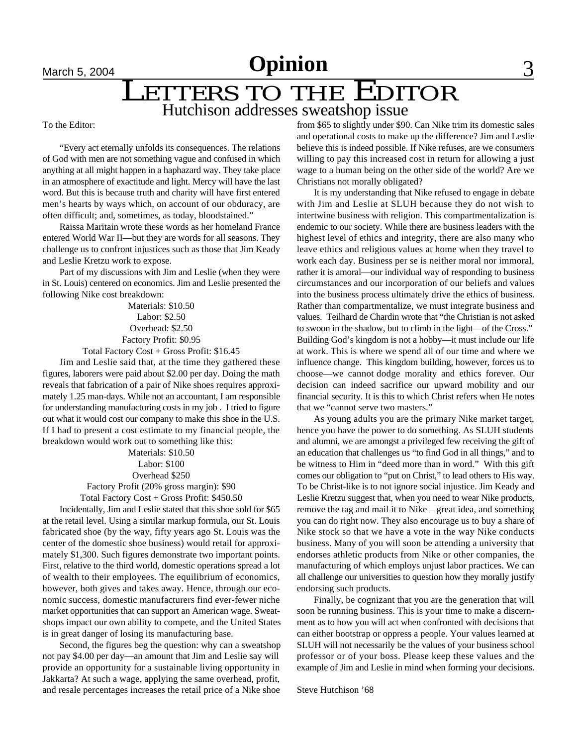## **March 5, 2004 Opinion** 3

## LETTERS TO THE EDITOR

Hutchison addresses sweatshop issue

To the Editor:

"Every act eternally unfolds its consequences. The relations of God with men are not something vague and confused in which anything at all might happen in a haphazard way. They take place in an atmosphere of exactitude and light. Mercy will have the last word. But this is because truth and charity will have first entered men's hearts by ways which, on account of our obduracy, are often difficult; and, sometimes, as today, bloodstained."

Raissa Maritain wrote these words as her homeland France entered World War II—but they are words for all seasons. They challenge us to confront injustices such as those that Jim Keady and Leslie Kretzu work to expose.

Part of my discussions with Jim and Leslie (when they were in St. Louis) centered on economics. Jim and Leslie presented the following Nike cost breakdown:

> Materials: \$10.50 Labor: \$2.50 Overhead: \$2.50 Factory Profit: \$0.95

Total Factory Cost + Gross Profit: \$16.45

Jim and Leslie said that, at the time they gathered these figures, laborers were paid about \$2.00 per day. Doing the math reveals that fabrication of a pair of Nike shoes requires approximately 1.25 man-days. While not an accountant, I am responsible for understanding manufacturing costs in my job . I tried to figure out what it would cost our company to make this shoe in the U.S. If I had to present a cost estimate to my financial people, the breakdown would work out to something like this:

> Materials: \$10.50 Labor: \$100 Overhead \$250 Factory Profit (20% gross margin): \$90

Total Factory Cost + Gross Profit: \$450.50

Incidentally, Jim and Leslie stated that this shoe sold for \$65 at the retail level. Using a similar markup formula, our St. Louis fabricated shoe (by the way, fifty years ago St. Louis was the center of the domestic shoe business) would retail for approximately \$1,300. Such figures demonstrate two important points. First, relative to the third world, domestic operations spread a lot of wealth to their employees. The equilibrium of economics, however, both gives and takes away. Hence, through our economic success, domestic manufacturers find ever-fewer niche market opportunities that can support an American wage. Sweatshops impact our own ability to compete, and the United States is in great danger of losing its manufacturing base.

Second, the figures beg the question: why can a sweatshop not pay \$4.00 per day—an amount that Jim and Leslie say will provide an opportunity for a sustainable living opportunity in Jakkarta? At such a wage, applying the same overhead, profit, and resale percentages increases the retail price of a Nike shoe

from \$65 to slightly under \$90. Can Nike trim its domestic sales and operational costs to make up the difference? Jim and Leslie believe this is indeed possible. If Nike refuses, are we consumers willing to pay this increased cost in return for allowing a just wage to a human being on the other side of the world? Are we Christians not morally obligated?

It is my understanding that Nike refused to engage in debate with Jim and Leslie at SLUH because they do not wish to intertwine business with religion. This compartmentalization is endemic to our society. While there are business leaders with the highest level of ethics and integrity, there are also many who leave ethics and religious values at home when they travel to work each day. Business per se is neither moral nor immoral, rather it is amoral—our individual way of responding to business circumstances and our incorporation of our beliefs and values into the business process ultimately drive the ethics of business. Rather than compartmentalize, we must integrate business and values. Teilhard de Chardin wrote that "the Christian is not asked to swoon in the shadow, but to climb in the light—of the Cross." Building God's kingdom is not a hobby—it must include our life at work. This is where we spend all of our time and where we influence change. This kingdom building, however, forces us to choose—we cannot dodge morality and ethics forever. Our decision can indeed sacrifice our upward mobility and our financial security. It is this to which Christ refers when He notes that we "cannot serve two masters."

As young adults you are the primary Nike market target, hence you have the power to do something. As SLUH students and alumni, we are amongst a privileged few receiving the gift of an education that challenges us "to find God in all things," and to be witness to Him in "deed more than in word." With this gift comes our obligation to "put on Christ," to lead others to His way. To be Christ-like is to not ignore social injustice. Jim Keady and Leslie Kretzu suggest that, when you need to wear Nike products, remove the tag and mail it to Nike—great idea, and something you can do right now. They also encourage us to buy a share of Nike stock so that we have a vote in the way Nike conducts business. Many of you will soon be attending a university that endorses athletic products from Nike or other companies, the manufacturing of which employs unjust labor practices. We can all challenge our universities to question how they morally justify endorsing such products.

Finally, be cognizant that you are the generation that will soon be running business. This is your time to make a discernment as to how you will act when confronted with decisions that can either bootstrap or oppress a people. Your values learned at SLUH will not necessarily be the values of your business school professor or of your boss. Please keep these values and the example of Jim and Leslie in mind when forming your decisions.

Steve Hutchison '68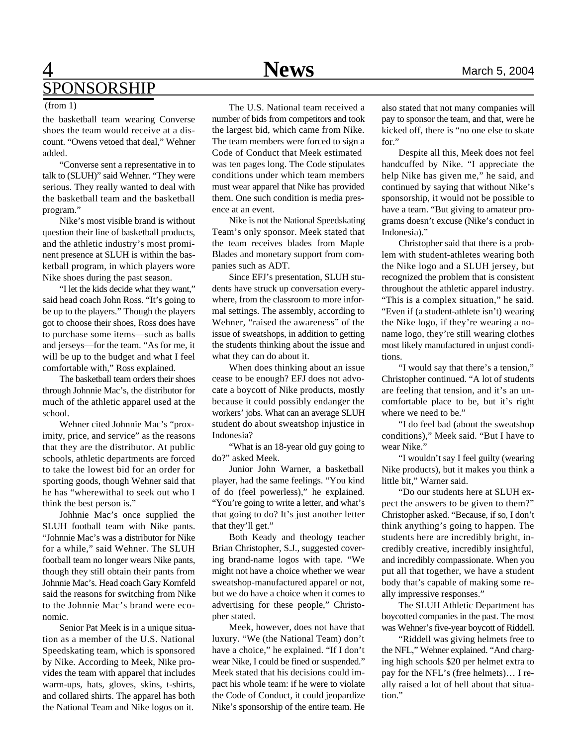### 4 **News** March 5, 2004 SPONSORSHIP

the basketball team wearing Converse shoes the team would receive at a discount. "Owens vetoed that deal," Wehner added.

"Converse sent a representative in to talk to (SLUH)" said Wehner. "They were serious. They really wanted to deal with the basketball team and the basketball program."

Nike's most visible brand is without question their line of basketball products, and the athletic industry's most prominent presence at SLUH is within the basketball program, in which players wore Nike shoes during the past season.

"I let the kids decide what they want," said head coach John Ross. "It's going to be up to the players." Though the players got to choose their shoes, Ross does have to purchase some items—such as balls and jerseys—for the team. "As for me, it will be up to the budget and what I feel comfortable with," Ross explained.

The basketball team orders their shoes through Johnnie Mac's, the distributor for much of the athletic apparel used at the school.

Wehner cited Johnnie Mac's "proximity, price, and service" as the reasons that they are the distributor. At public schools, athletic departments are forced to take the lowest bid for an order for sporting goods, though Wehner said that he has "wherewithal to seek out who I think the best person is."

Johhnie Mac's once supplied the SLUH football team with Nike pants. "Johnnie Mac's was a distributor for Nike for a while," said Wehner. The SLUH football team no longer wears Nike pants, though they still obtain their pants from Johnnie Mac's. Head coach Gary Kornfeld said the reasons for switching from Nike to the Johnnie Mac's brand were economic.

Senior Pat Meek is in a unique situation as a member of the U.S. National Speedskating team, which is sponsored by Nike. According to Meek, Nike provides the team with apparel that includes warm-ups, hats, gloves, skins, t-shirts, and collared shirts. The apparel has both the National Team and Nike logos on it.

(from 1) The U.S. National team received a number of bids from competitors and took the largest bid, which came from Nike. The team members were forced to sign a Code of Conduct that Meek estimated was ten pages long. The Code stipulates conditions under which team members must wear apparel that Nike has provided them. One such condition is media presence at an event.

> Nike is not the National Speedskating Team's only sponsor. Meek stated that the team receives blades from Maple Blades and monetary support from companies such as ADT.

> Since EFJ's presentation, SLUH students have struck up conversation everywhere, from the classroom to more informal settings. The assembly, according to Wehner, "raised the awareness" of the issue of sweatshops, in addition to getting the students thinking about the issue and what they can do about it.

> When does thinking about an issue cease to be enough? EFJ does not advocate a boycott of Nike products, mostly because it could possibly endanger the workers' jobs. What can an average SLUH student do about sweatshop injustice in Indonesia?

> "What is an 18-year old guy going to do?" asked Meek.

> Junior John Warner, a basketball player, had the same feelings. "You kind of do (feel powerless)," he explained. "You're going to write a letter, and what's that going to do? It's just another letter that they'll get."

> Both Keady and theology teacher Brian Christopher, S.J., suggested covering brand-name logos with tape. "We might not have a choice whether we wear sweatshop-manufactured apparel or not, but we do have a choice when it comes to advertising for these people," Christopher stated.

> Meek, however, does not have that luxury. "We (the National Team) don't have a choice," he explained. "If I don't wear Nike, I could be fined or suspended." Meek stated that his decisions could impact his whole team: if he were to violate the Code of Conduct, it could jeopardize Nike's sponsorship of the entire team. He

also stated that not many companies will pay to sponsor the team, and that, were he kicked off, there is "no one else to skate for."

Despite all this, Meek does not feel handcuffed by Nike. "I appreciate the help Nike has given me," he said, and continued by saying that without Nike's sponsorship, it would not be possible to have a team. "But giving to amateur programs doesn't excuse (Nike's conduct in Indonesia)."

Christopher said that there is a problem with student-athletes wearing both the Nike logo and a SLUH jersey, but recognized the problem that is consistent throughout the athletic apparel industry. "This is a complex situation," he said. "Even if (a student-athlete isn't) wearing the Nike logo, if they're wearing a noname logo, they're still wearing clothes most likely manufactured in unjust conditions.

"I would say that there's a tension," Christopher continued. "A lot of students are feeling that tension, and it's an uncomfortable place to be, but it's right where we need to be."

"I do feel bad (about the sweatshop conditions)," Meek said. "But I have to wear Nike."

"I wouldn't say I feel guilty (wearing Nike products), but it makes you think a little bit," Warner said.

"Do our students here at SLUH expect the answers to be given to them?" Christopher asked. "Because, if so, I don't think anything's going to happen. The students here are incredibly bright, incredibly creative, incredibly insightful, and incredibly compassionate. When you put all that together, we have a student body that's capable of making some really impressive responses."

The SLUH Athletic Department has boycotted companies in the past. The most was Wehner's five-year boycott of Riddell.

"Riddell was giving helmets free to the NFL," Wehner explained. "And charging high schools \$20 per helmet extra to pay for the NFL's (free helmets)… I really raised a lot of hell about that situation."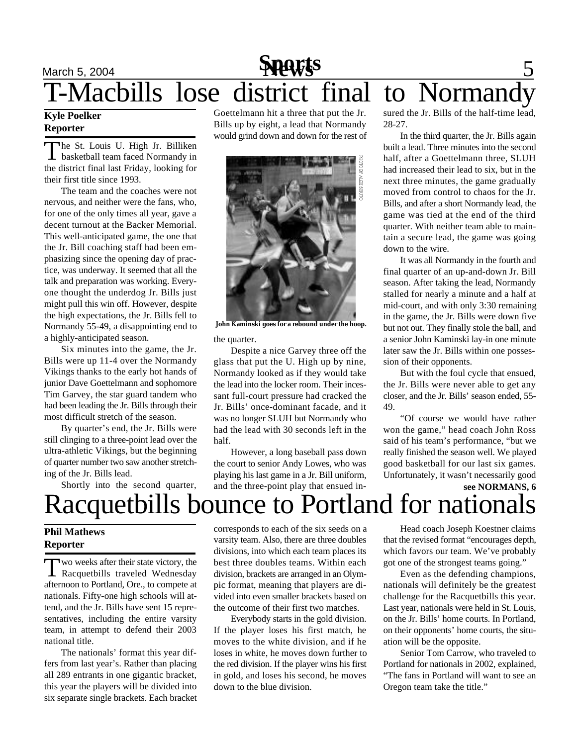### March 5, 2004 **News** 5 T-Macbills lose district final to Normandy **Sports**

#### **Kyle Poelker Reporter**

T he St. Louis U. High Jr. Billiken basketball team faced Normandy in the district final last Friday, looking for their first title since 1993.

The team and the coaches were not nervous, and neither were the fans, who, for one of the only times all year, gave a decent turnout at the Backer Memorial. This well-anticipated game, the one that the Jr. Bill coaching staff had been emphasizing since the opening day of practice, was underway. It seemed that all the talk and preparation was working. Everyone thought the underdog Jr. Bills just might pull this win off. However, despite the high expectations, the Jr. Bills fell to Normandy 55-49, a disappointing end to a highly-anticipated season.

Six minutes into the game, the Jr. Bills were up 11-4 over the Normandy Vikings thanks to the early hot hands of junior Dave Goettelmann and sophomore Tim Garvey, the star guard tandem who had been leading the Jr. Bills through their most difficult stretch of the season.

By quarter's end, the Jr. Bills were still clinging to a three-point lead over the ultra-athletic Vikings, but the beginning of quarter number two saw another stretching of the Jr. Bills lead.

Shortly into the second quarter,

Goettelmann hit a three that put the Jr. Bills up by eight, a lead that Normandy would grind down and down for the rest of



the quarter. **John Kaminski goes for a rebound under the hoop.**

Despite a nice Garvey three off the glass that put the U. High up by nine, Normandy looked as if they would take the lead into the locker room. Their incessant full-court pressure had cracked the Jr. Bills' once-dominant facade, and it was no longer SLUH but Normandy who had the lead with 30 seconds left in the half.

However, a long baseball pass down the court to senior Andy Lowes, who was playing his last game in a Jr. Bill uniform, and the three-point play that ensued insured the Jr. Bills of the half-time lead, 28-27.

In the third quarter, the Jr. Bills again built a lead. Three minutes into the second half, after a Goettelmann three, SLUH had increased their lead to six, but in the next three minutes, the game gradually moved from control to chaos for the Jr. Bills, and after a short Normandy lead, the game was tied at the end of the third quarter. With neither team able to maintain a secure lead, the game was going down to the wire.

It was all Normandy in the fourth and final quarter of an up-and-down Jr. Bill season. After taking the lead, Normandy stalled for nearly a minute and a half at mid-court, and with only 3:30 remaining in the game, the Jr. Bills were down five but not out. They finally stole the ball, and a senior John Kaminski lay-in one minute later saw the Jr. Bills within one possession of their opponents.

But with the foul cycle that ensued, the Jr. Bills were never able to get any closer, and the Jr. Bills' season ended, 55- 49.

"Of course we would have rather won the game," head coach John Ross said of his team's performance, "but we really finished the season well. We played good basketball for our last six games. Unfortunately, it wasn't necessarily good

### **see NORMANS, 6** Racquetbills bounce to Portland for national

#### **Phil Mathews Reporter**

Two weeks after their state victory, the<br>Racquetbills traveled Wednesday wo weeks after their state victory, the afternoon to Portland, Ore., to compete at nationals. Fifty-one high schools will attend, and the Jr. Bills have sent 15 representatives, including the entire varsity team, in attempt to defend their 2003 national title.

The nationals' format this year differs from last year's. Rather than placing all 289 entrants in one gigantic bracket, this year the players will be divided into six separate single brackets. Each bracket corresponds to each of the six seeds on a varsity team. Also, there are three doubles divisions, into which each team places its best three doubles teams. Within each division, brackets are arranged in an Olympic format, meaning that players are divided into even smaller brackets based on the outcome of their first two matches.

Everybody starts in the gold division. If the player loses his first match, he moves to the white division, and if he loses in white, he moves down further to the red division. If the player wins his first in gold, and loses his second, he moves down to the blue division.

Head coach Joseph Koestner claims that the revised format "encourages depth, which favors our team. We've probably got one of the strongest teams going."

Even as the defending champions, nationals will definitely be the greatest challenge for the Racquetbills this year. Last year, nationals were held in St. Louis, on the Jr. Bills' home courts. In Portland, on their opponents' home courts, the situation will be the opposite.

Senior Tom Carrow, who traveled to Portland for nationals in 2002, explained, "The fans in Portland will want to see an Oregon team take the title."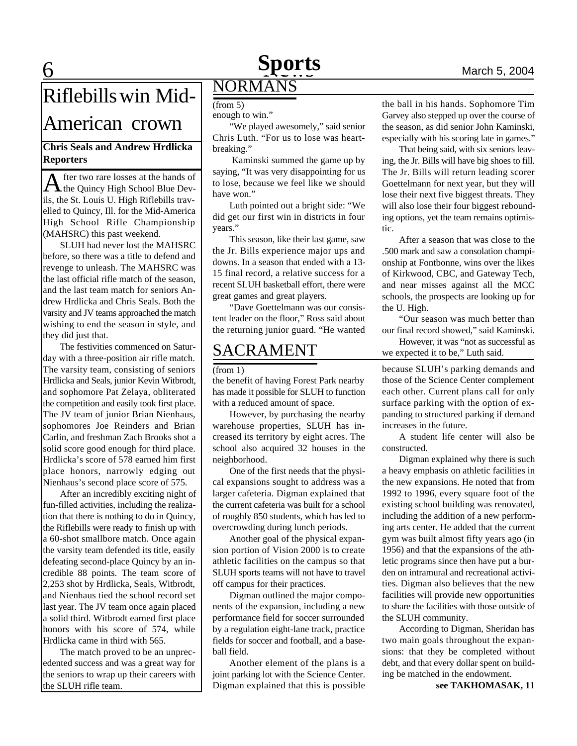### **6 News News March 5, 2004 Sports**

## Riflebills win Mid-

### American crown

### **Chris Seals and Andrew Hrdlicka Reporters**

A fter two rare losses at the hands of<br>the Quincy High School Blue Devthe Quincy High School Blue Devils, the St. Louis U. High Riflebills travelled to Quincy, Ill. for the Mid-America High School Rifle Championship (MAHSRC) this past weekend.

SLUH had never lost the MAHSRC before, so there was a title to defend and revenge to unleash. The MAHSRC was the last official rifle match of the season, and the last team match for seniors Andrew Hrdlicka and Chris Seals. Both the varsity and JV teams approached the match wishing to end the season in style, and they did just that.

The festivities commenced on Saturday with a three-position air rifle match. The varsity team, consisting of seniors Hrdlicka and Seals, junior Kevin Witbrodt, and sophomore Pat Zelaya, obliterated the competition and easily took first place. The JV team of junior Brian Nienhaus, sophomores Joe Reinders and Brian Carlin, and freshman Zach Brooks shot a solid score good enough for third place. Hrdlicka's score of 578 earned him first place honors, narrowly edging out Nienhaus's second place score of 575.

After an incredibly exciting night of fun-filled activities, including the realization that there is nothing to do in Quincy, the Riflebills were ready to finish up with a 60-shot smallbore match. Once again the varsity team defended its title, easily defeating second-place Quincy by an incredible 88 points. The team score of 2,253 shot by Hrdlicka, Seals, Witbrodt, and Nienhaus tied the school record set last year. The JV team once again placed a solid third. Witbrodt earned first place honors with his score of 574, while Hrdlicka came in third with 565.

The match proved to be an unprecedented success and was a great way for the seniors to wrap up their careers with the SLUH rifle team.

### NORMANS  $(from 5)$

enough to win."

"We played awesomely," said senior Chris Luth. "For us to lose was heartbreaking."

 Kaminski summed the game up by saying, "It was very disappointing for us to lose, because we feel like we should have won."

Luth pointed out a bright side: "We did get our first win in districts in four years."

This season, like their last game, saw the Jr. Bills experience major ups and downs. In a season that ended with a 13- 15 final record, a relative success for a recent SLUH basketball effort, there were great games and great players.

"Dave Goettelmann was our consistent leader on the floor," Ross said about the returning junior guard. "He wanted

### SACRAMENT

the benefit of having Forest Park nearby has made it possible for SLUH to function with a reduced amount of space.

However, by purchasing the nearby warehouse properties, SLUH has increased its territory by eight acres. The school also acquired 32 houses in the neighborhood.

One of the first needs that the physical expansions sought to address was a larger cafeteria. Digman explained that the current cafeteria was built for a school of roughly 850 students, which has led to overcrowding during lunch periods.

Another goal of the physical expansion portion of Vision 2000 is to create athletic facilities on the campus so that SLUH sports teams will not have to travel off campus for their practices.

Digman outlined the major components of the expansion, including a new performance field for soccer surrounded by a regulation eight-lane track, practice fields for soccer and football, and a baseball field.

Another element of the plans is a joint parking lot with the Science Center. Digman explained that this is possible the ball in his hands. Sophomore Tim Garvey also stepped up over the course of the season, as did senior John Kaminski, especially with his scoring late in games."

That being said, with six seniors leaving, the Jr. Bills will have big shoes to fill. The Jr. Bills will return leading scorer Goettelmann for next year, but they will lose their next five biggest threats. They will also lose their four biggest rebounding options, yet the team remains optimistic.

After a season that was close to the .500 mark and saw a consolation championship at Fontbonne, wins over the likes of Kirkwood, CBC, and Gateway Tech, and near misses against all the MCC schools, the prospects are looking up for the U. High.

"Our season was much better than our final record showed," said Kaminski.

However, it was "not as successful as we expected it to be," Luth said.

(from 1) because SLUH's parking demands and those of the Science Center complement each other. Current plans call for only surface parking with the option of expanding to structured parking if demand increases in the future.

A student life center will also be constructed.

Digman explained why there is such a heavy emphasis on athletic facilities in the new expansions. He noted that from 1992 to 1996, every square foot of the existing school building was renovated, including the addition of a new performing arts center. He added that the current gym was built almost fifty years ago (in 1956) and that the expansions of the athletic programs since then have put a burden on intramural and recreational activities. Digman also believes that the new facilities will provide new opportunities to share the facilities with those outside of the SLUH community.

According to Digman, Sheridan has two main goals throughout the expansions: that they be completed without debt, and that every dollar spent on building be matched in the endowment.

**see TAKHOMASAK, 11**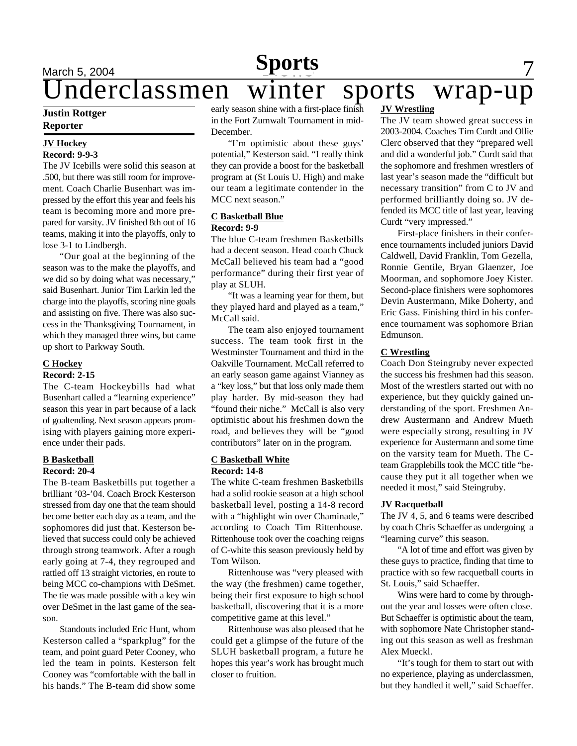### <u>March 5, 2004 **Sports** 7</u> **Sports** March 5, 2004<br>Underclassmen winter sports wrap-up

#### **Justin Rottger Reporter**

#### **JV Hockey Record: 9-9-3**

The JV Icebills were solid this season at .500, but there was still room for improvement. Coach Charlie Busenhart was impressed by the effort this year and feels his team is becoming more and more prepared for varsity. JV finished 8th out of 16 teams, making it into the playoffs, only to lose 3-1 to Lindbergh.

"Our goal at the beginning of the season was to the make the playoffs, and we did so by doing what was necessary," said Busenhart. Junior Tim Larkin led the charge into the playoffs, scoring nine goals and assisting on five. There was also success in the Thanksgiving Tournament, in which they managed three wins, but came up short to Parkway South.

#### **C Hockey**

#### **Record: 2-15**

The C-team Hockeybills had what Busenhart called a "learning experience" season this year in part because of a lack of goaltending. Next season appears promising with players gaining more experience under their pads.

#### **B Basketball Record: 20-4**

The B-team Basketbills put together a brilliant '03-'04. Coach Brock Kesterson stressed from day one that the team should become better each day as a team, and the sophomores did just that. Kesterson believed that success could only be achieved through strong teamwork. After a rough early going at 7-4, they regrouped and rattled off 13 straight victories, en route to being MCC co-champions with DeSmet. The tie was made possible with a key win over DeSmet in the last game of the season.

Standouts included Eric Hunt, whom Kesterson called a "sparkplug" for the team, and point guard Peter Cooney, who led the team in points. Kesterson felt Cooney was "comfortable with the ball in his hands." The B-team did show some

early season shine with a first-place finish in the Fort Zumwalt Tournament in mid-December.

"I'm optimistic about these guys' potential," Kesterson said. "I really think they can provide a boost for the basketball program at (St Louis U. High) and make our team a legitimate contender in the MCC next season."

#### **C Basketball Blue Record: 9-9**

The blue C-team freshmen Basketbills had a decent season. Head coach Chuck McCall believed his team had a "good performance" during their first year of play at SLUH.

"It was a learning year for them, but they played hard and played as a team," McCall said.

The team also enjoyed tournament success. The team took first in the Westminster Tournament and third in the Oakville Tournament. McCall referred to an early season game against Vianney as a "key loss," but that loss only made them play harder. By mid-season they had "found their niche." McCall is also very optimistic about his freshmen down the road, and believes they will be "good contributors" later on in the program.

#### **C Basketball White Record: 14-8**

The white C-team freshmen Basketbills had a solid rookie season at a high school basketball level, posting a 14-8 record with a "highlight win over Chaminade," according to Coach Tim Rittenhouse. Rittenhouse took over the coaching reigns of C-white this season previously held by Tom Wilson.

Rittenhouse was "very pleased with the way (the freshmen) came together, being their first exposure to high school basketball, discovering that it is a more competitive game at this level."

Rittenhouse was also pleased that he could get a glimpse of the future of the SLUH basketball program, a future he hopes this year's work has brought much closer to fruition.

#### **JV Wrestling**

The JV team showed great success in 2003-2004. Coaches Tim Curdt and Ollie Clerc observed that they "prepared well and did a wonderful job." Curdt said that the sophomore and freshmen wrestlers of last year's season made the "difficult but necessary transition" from C to JV and performed brilliantly doing so. JV defended its MCC title of last year, leaving Curdt "very impressed."

First-place finishers in their conference tournaments included juniors David Caldwell, David Franklin, Tom Gezella, Ronnie Gentile, Bryan Glaenzer, Joe Moorman, and sophomore Joey Kister. Second-place finishers were sophomores Devin Austermann, Mike Doherty, and Eric Gass. Finishing third in his conference tournament was sophomore Brian Edmunson.

#### **C Wrestling**

Coach Don Steingruby never expected the success his freshmen had this season. Most of the wrestlers started out with no experience, but they quickly gained understanding of the sport. Freshmen Andrew Austermann and Andrew Mueth were especially strong, resulting in JV experience for Austermann and some time on the varsity team for Mueth. The Cteam Grapplebills took the MCC title "because they put it all together when we needed it most," said Steingruby.

#### **JV Racquetball**

The JV 4, 5, and 6 teams were described by coach Chris Schaeffer as undergoing a "learning curve" this season.

"A lot of time and effort was given by these guys to practice, finding that time to practice with so few racquetball courts in St. Louis," said Schaeffer.

Wins were hard to come by throughout the year and losses were often close. But Schaeffer is optimistic about the team, with sophomore Nate Christopher standing out this season as well as freshman Alex Mueckl.

"It's tough for them to start out with no experience, playing as underclassmen, but they handled it well," said Schaeffer.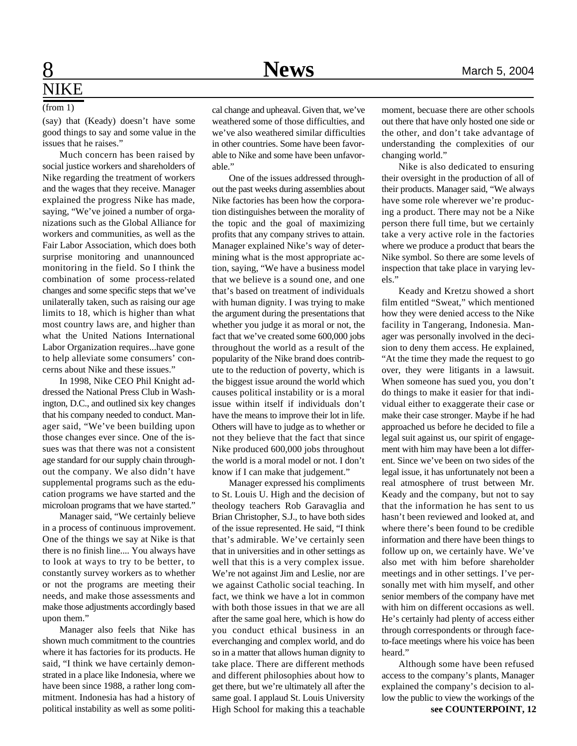# **NIKE**

#### (from 1)

(say) that (Keady) doesn't have some good things to say and some value in the issues that he raises."

Much concern has been raised by social justice workers and shareholders of Nike regarding the treatment of workers and the wages that they receive. Manager explained the progress Nike has made, saying, "We've joined a number of organizations such as the Global Alliance for workers and communities, as well as the Fair Labor Association, which does both surprise monitoring and unannounced monitoring in the field. So I think the combination of some process-related changes and some specific steps that we've unilaterally taken, such as raising our age limits to 18, which is higher than what most country laws are, and higher than what the United Nations International Labor Organization requires...have gone to help alleviate some consumers' concerns about Nike and these issues."

In 1998, Nike CEO Phil Knight addressed the National Press Club in Washington, D.C., and outlined six key changes that his company needed to conduct. Manager said, "We've been building upon those changes ever since. One of the issues was that there was not a consistent age standard for our supply chain throughout the company. We also didn't have supplemental programs such as the education programs we have started and the microloan programs that we have started."

Manager said, "We certainly believe in a process of continuous improvement. One of the things we say at Nike is that there is no finish line.... You always have to look at ways to try to be better, to constantly survey workers as to whether or not the programs are meeting their needs, and make those assessments and make those adjustments accordingly based upon them."

Manager also feels that Nike has shown much commitment to the countries where it has factories for its products. He said, "I think we have certainly demonstrated in a place like Indonesia, where we have been since 1988, a rather long commitment. Indonesia has had a history of political instability as well as some political change and upheaval. Given that, we've weathered some of those difficulties, and we've also weathered similar difficulties in other countries. Some have been favorable to Nike and some have been unfavorable."

One of the issues addressed throughout the past weeks during assemblies about Nike factories has been how the corporation distinguishes between the morality of the topic and the goal of maximizing profits that any company strives to attain. Manager explained Nike's way of determining what is the most appropriate action, saying, "We have a business model that we believe is a sound one, and one that's based on treatment of individuals with human dignity. I was trying to make the argument during the presentations that whether you judge it as moral or not, the fact that we've created some 600,000 jobs throughout the world as a result of the popularity of the Nike brand does contribute to the reduction of poverty, which is the biggest issue around the world which causes political instability or is a moral issue within itself if individuals don't have the means to improve their lot in life. Others will have to judge as to whether or not they believe that the fact that since Nike produced 600,000 jobs throughout the world is a moral model or not. I don't know if I can make that judgement."

Manager expressed his compliments to St. Louis U. High and the decision of theology teachers Rob Garavaglia and Brian Christopher, S.J., to have both sides of the issue represented. He said, "I think that's admirable. We've certainly seen that in universities and in other settings as well that this is a very complex issue. We're not against Jim and Leslie, nor are we against Catholic social teaching. In fact, we think we have a lot in common with both those issues in that we are all after the same goal here, which is how do you conduct ethical business in an everchanging and complex world, and do so in a matter that allows human dignity to take place. There are different methods and different philosophies about how to get there, but we're ultimately all after the same goal. I applaud St. Louis University High School for making this a teachable

moment, becuase there are other schools out there that have only hosted one side or the other, and don't take advantage of understanding the complexities of our changing world."

Nike is also dedicated to ensuring their oversight in the production of all of their products. Manager said, "We always have some role wherever we're producing a product. There may not be a Nike person there full time, but we certainly take a very active role in the factories where we produce a product that bears the Nike symbol. So there are some levels of inspection that take place in varying levels."

Keady and Kretzu showed a short film entitled "Sweat," which mentioned how they were denied access to the Nike facility in Tangerang, Indonesia. Manager was personally involved in the decision to deny them access. He explained, "At the time they made the request to go over, they were litigants in a lawsuit. When someone has sued you, you don't do things to make it easier for that individual either to exaggerate their case or make their case stronger. Maybe if he had approached us before he decided to file a legal suit against us, our spirit of engagement with him may have been a lot different. Since we've been on two sides of the legal issue, it has unfortunately not been a real atmosphere of trust between Mr. Keady and the company, but not to say that the information he has sent to us hasn't been reviewed and looked at, and where there's been found to be credible information and there have been things to follow up on, we certainly have. We've also met with him before shareholder meetings and in other settings. I've personally met with him myself, and other senior members of the company have met with him on different occasions as well. He's certainly had plenty of access either through correspondents or through faceto-face meetings where his voice has been heard."

Although some have been refused access to the company's plants, Manager explained the company's decision to allow the public to view the workings of the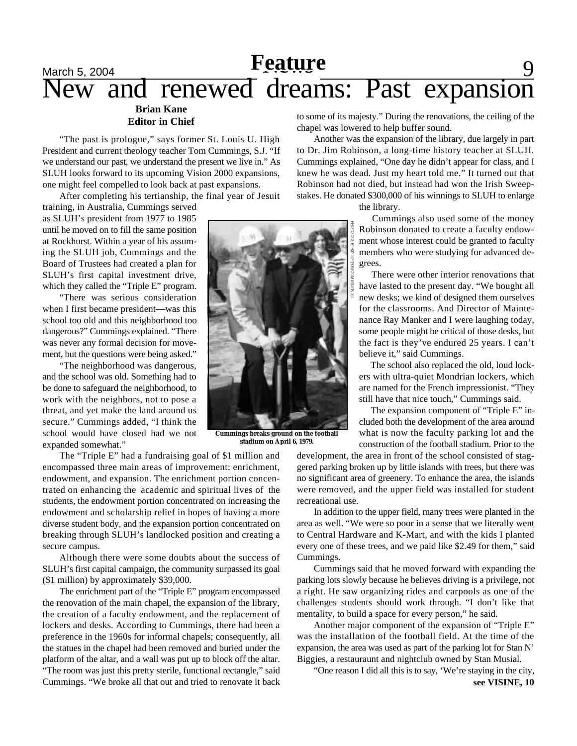## <u>March 5, 2004 **Feature Product**</u> 9 New and renewed dreams: Past expansion

#### **Brian Kane Editor in Chief**

"The past is prologue," says former St. Louis U. High President and current theology teacher Tom Cummings, S.J. "If we understand our past, we understand the present we live in." As SLUH looks forward to its upcoming Vision 2000 expansions, one might feel compelled to look back at past expansions.

After completing his tertianship, the final year of Jesuit

The "Triple E" had a fundraising goal of \$1 million and encompassed three main areas of improvement: enrichment, endowment, and expansion. The enrichment portion concentrated on enhancing the academic and spiritual lives of the students, the endowment portion concentrated on increasing the endowment and scholarship relief in hopes of having a more diverse student body, and the expansion portion concentrated on breaking through SLUH's landlocked position and creating a

Although there were some doubts about the success of SLUH's first capital campaign, the community surpassed its goal

The enrichment part of the "Triple E" program encompassed the renovation of the main chapel, the expansion of the library, the creation of a faculty endowment, and the replacement of lockers and desks. According to Cummings, there had been a preference in the 1960s for informal chapels; consequently, all the statues in the chapel had been removed and buried under the platform of the altar, and a wall was put up to block off the altar. "The room was just this pretty sterile, functional rectangle," said Cummings. "We broke all that out and tried to renovate it back

training, in Australia, Cummings served as SLUH's president from 1977 to 1985 until he moved on to fill the same position at Rockhurst. Within a year of his assuming the SLUH job, Cummings and the Board of Trustees had created a plan for SLUH's first capital investment drive, which they called the "Triple E" program.

"There was serious consideration when I first became president—was this school too old and this neighborhood too dangerous?" Cummings explained. "There was never any formal decision for movement, but the questions were being asked."

"The neighborhood was dangerous, and the school was old. Something had to be done to safeguard the neighborhood, to work with the neighbors, not to pose a threat, and yet make the land around us secure." Cummings added, "I think the school would have closed had we not expanded somewhat."

(\$1 million) by approximately \$39,000.

secure campus.

**Cummings breaks ground on the football stadium on April 6, 1979.**

to some of its majesty." During the renovations, the ceiling of the chapel was lowered to help buffer sound.

Another was the expansion of the library, due largely in part to Dr. Jim Robinson, a long-time history teacher at SLUH. Cummings explained, "One day he didn't appear for class, and I knew he was dead. Just my heart told me." It turned out that Robinson had not died, but instead had won the Irish Sweepstakes. He donated \$300,000 of his winnings to SLUH to enlarge

the library.

 Cummings also used some of the money Robinson donated to create a faculty endowment whose interest could be granted to faculty members who were studying for advanced degrees.

 There were other interior renovations that have lasted to the present day. "We bought all new desks; we kind of designed them ourselves for the classrooms. And Director of Maintenance Ray Manker and I were laughing today, some people might be critical of those desks, but the fact is they've endured 25 years. I can't believe it," said Cummings.

 The school also replaced the old, loud lockers with ultra-quiet Mondrian lockers, which are named for the French impressionist. "They still have that nice touch," Cummings said.

 The expansion component of "Triple E" included both the development of the area around what is now the faculty parking lot and the construction of the football stadium. Prior to the

development, the area in front of the school consisted of staggered parking broken up by little islands with trees, but there was no significant area of greenery. To enhance the area, the islands were removed, and the upper field was installed for student recreational use.

In addition to the upper field, many trees were planted in the area as well. "We were so poor in a sense that we literally went to Central Hardware and K-Mart, and with the kids I planted every one of these trees, and we paid like \$2.49 for them," said Cummings.

Cummings said that he moved forward with expanding the parking lots slowly because he believes driving is a privilege, not a right. He saw organizing rides and carpools as one of the challenges students should work through. "I don't like that mentality, to build a space for every person," he said.

Another major component of the expansion of "Triple E" was the installation of the football field. At the time of the expansion, the area was used as part of the parking lot for Stan N' Biggies, a restauraunt and nightclub owned by Stan Musial.

"One reason I did all this is to say, 'We're staying in the city,

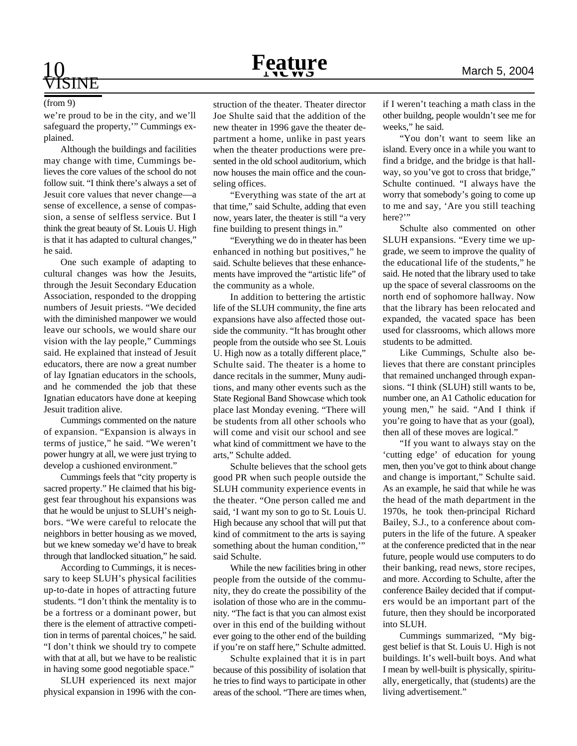## 10 **Feature** March 5, 2004

# ISINE

we're proud to be in the city, and we'll safeguard the property,'" Cummings explained.

Although the buildings and facilities may change with time, Cummings believes the core values of the school do not follow suit. "I think there's always a set of Jesuit core values that never change—a sense of excellence, a sense of compassion, a sense of selfless service. But I think the great beauty of St. Louis U. High is that it has adapted to cultural changes," he said.

One such example of adapting to cultural changes was how the Jesuits, through the Jesuit Secondary Education Association, responded to the dropping numbers of Jesuit priests. "We decided with the diminished manpower we would leave our schools, we would share our vision with the lay people," Cummings said. He explained that instead of Jesuit educators, there are now a great number of lay Ignatian educators in the schools, and he commended the job that these Ignatian educators have done at keeping Jesuit tradition alive.

Cummings commented on the nature of expansion. "Expansion is always in terms of justice," he said. "We weren't power hungry at all, we were just trying to develop a cushioned environment."

Cummings feels that "city property is sacred property." He claimed that his biggest fear throughout his expansions was that he would be unjust to SLUH's neighbors. "We were careful to relocate the neighbors in better housing as we moved, but we knew someday we'd have to break through that landlocked situation," he said.

According to Cummings, it is necessary to keep SLUH's physical facilities up-to-date in hopes of attracting future students. "I don't think the mentality is to be a fortress or a dominant power, but there is the element of attractive competition in terms of parental choices," he said. "I don't think we should try to compete with that at all, but we have to be realistic in having some good negotiable space."

SLUH experienced its next major physical expansion in 1996 with the con-

(from 9) struction of the theater. Theater director if I weren't teaching a math class in the Joe Shulte said that the addition of the new theater in 1996 gave the theater department a home, unlike in past years when the theater productions were presented in the old school auditorium, which now houses the main office and the counseling offices.

> "Everything was state of the art at that time," said Schulte, adding that even now, years later, the theater is still "a very fine building to present things in."

> "Everything we do in theater has been enhanced in nothing but positives," he said. Schulte believes that these enhancements have improved the "artistic life" of the community as a whole.

> In addition to bettering the artistic life of the SLUH community, the fine arts expansions have also affected those outside the community. "It has brought other people from the outside who see St. Louis U. High now as a totally different place," Schulte said. The theater is a home to dance recitals in the summer, Muny auditions, and many other events such as the State Regional Band Showcase which took place last Monday evening. "There will be students from all other schools who will come and visit our school and see what kind of committment we have to the arts," Schulte added.

> Schulte believes that the school gets good PR when such people outside the SLUH community experience events in the theater. "One person called me and said, 'I want my son to go to St. Louis U. High because any school that will put that kind of commitment to the arts is saying something about the human condition," said Schulte.

> While the new facilities bring in other people from the outside of the community, they do create the possibility of the isolation of those who are in the community. "The fact is that you can almost exist over in this end of the building without ever going to the other end of the building if you're on staff here," Schulte admitted.

> Schulte explained that it is in part because of this possibility of isolation that he tries to find ways to participate in other areas of the school. "There are times when,

other buildng, people wouldn't see me for weeks," he said.

"You don't want to seem like an island. Every once in a while you want to find a bridge, and the bridge is that hallway, so you've got to cross that bridge," Schulte continued. "I always have the worry that somebody's going to come up to me and say, 'Are you still teaching here?"

Schulte also commented on other SLUH expansions. "Every time we upgrade, we seem to improve the quality of the educational life of the students," he said. He noted that the library used to take up the space of several classrooms on the north end of sophomore hallway. Now that the library has been relocated and expanded, the vacated space has been used for classrooms, which allows more students to be admitted.

Like Cummings, Schulte also believes that there are constant principles that remained unchanged through expansions. "I think (SLUH) still wants to be, number one, an A1 Catholic education for young men," he said. "And I think if you're going to have that as your (goal), then all of these moves are logical."

"If you want to always stay on the 'cutting edge' of education for young men, then you've got to think about change and change is important," Schulte said. As an example, he said that while he was the head of the math department in the 1970s, he took then-principal Richard Bailey, S.J., to a conference about computers in the life of the future. A speaker at the conference predicted that in the near future, people would use computers to do their banking, read news, store recipes, and more. According to Schulte, after the conference Bailey decided that if computers would be an important part of the future, then they should be incorporated into SLUH.

Cummings summarized, "My biggest belief is that St. Louis U. High is not buildings. It's well-built boys. And what I mean by well-built is physically, spiritually, energetically, that (students) are the living advertisement."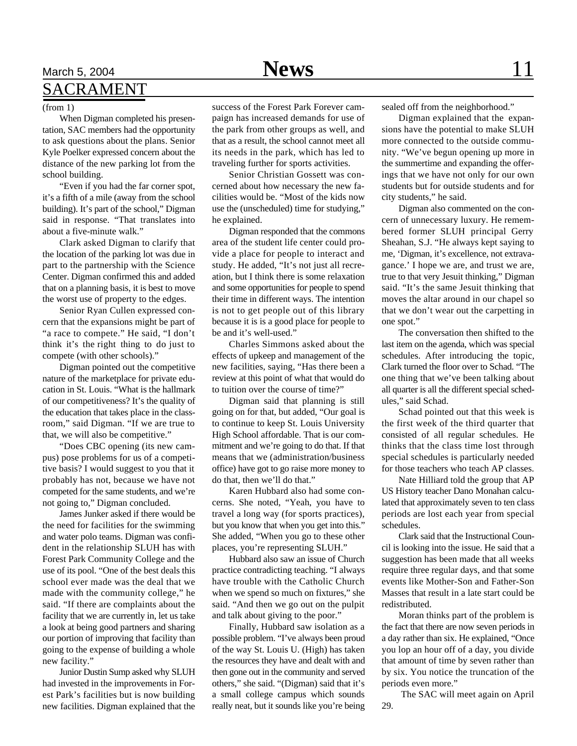### March 5, 2004 **News** 11 SACRAMENT

#### (from 1)

When Digman completed his presentation, SAC members had the opportunity to ask questions about the plans. Senior Kyle Poelker expressed concern about the distance of the new parking lot from the school building.

"Even if you had the far corner spot, it's a fifth of a mile (away from the school building). It's part of the school," Digman said in response. "That translates into about a five-minute walk."

Clark asked Digman to clarify that the location of the parking lot was due in part to the partnership with the Science Center. Digman confirmed this and added that on a planning basis, it is best to move the worst use of property to the edges.

Senior Ryan Cullen expressed concern that the expansions might be part of "a race to compete." He said, "I don't think it's the right thing to do just to compete (with other schools)."

Digman pointed out the competitive nature of the marketplace for private education in St. Louis. "What is the hallmark of our competitiveness? It's the quality of the education that takes place in the classroom," said Digman. "If we are true to that, we will also be competitive."

"Does CBC opening (its new campus) pose problems for us of a competitive basis? I would suggest to you that it probably has not, because we have not competed for the same students, and we're not going to," Digman concluded.

James Junker asked if there would be the need for facilities for the swimming and water polo teams. Digman was confident in the relationship SLUH has with Forest Park Community College and the use of its pool. "One of the best deals this school ever made was the deal that we made with the community college," he said. "If there are complaints about the facility that we are currently in, let us take a look at being good partners and sharing our portion of improving that facility than going to the expense of building a whole new facility."

Junior Dustin Sump asked why SLUH had invested in the improvements in Forest Park's facilities but is now building new facilities. Digman explained that the

success of the Forest Park Forever campaign has increased demands for use of the park from other groups as well, and that as a result, the school cannot meet all its needs in the park, which has led to traveling further for sports activities.

Senior Christian Gossett was concerned about how necessary the new facilities would be. "Most of the kids now use the (unscheduled) time for studying," he explained.

Digman responded that the commons area of the student life center could provide a place for people to interact and study. He added, "It's not just all recreation, but I think there is some relaxation and some opportunities for people to spend their time in different ways. The intention is not to get people out of this library because it is is a good place for people to be and it's well-used."

Charles Simmons asked about the effects of upkeep and management of the new facilities, saying, "Has there been a review at this point of what that would do to tuition over the course of time?"

Digman said that planning is still going on for that, but added, "Our goal is to continue to keep St. Louis University High School affordable. That is our commitment and we're going to do that. If that means that we (administration/business office) have got to go raise more money to do that, then we'll do that."

Karen Hubbard also had some concerns. She noted, "Yeah, you have to travel a long way (for sports practices), but you know that when you get into this." She added, "When you go to these other places, you're representing SLUH."

Hubbard also saw an issue of Church practice contradicting teaching. "I always have trouble with the Catholic Church when we spend so much on fixtures," she said. "And then we go out on the pulpit and talk about giving to the poor."

Finally, Hubbard saw isolation as a possible problem. "I've always been proud of the way St. Louis U. (High) has taken the resources they have and dealt with and then gone out in the community and served others," she said. "(Digman) said that it's a small college campus which sounds really neat, but it sounds like you're being sealed off from the neighborhood."

Digman explained that the expansions have the potential to make SLUH more connected to the outside community. "We've begun opening up more in the summertime and expanding the offerings that we have not only for our own students but for outside students and for city students," he said.

Digman also commented on the concern of unnecessary luxury. He remembered former SLUH principal Gerry Sheahan, S.J. "He always kept saying to me, 'Digman, it's excellence, not extravagance.' I hope we are, and trust we are, true to that very Jesuit thinking," Digman said. "It's the same Jesuit thinking that moves the altar around in our chapel so that we don't wear out the carpetting in one spot."

The conversation then shifted to the last item on the agenda, which was special schedules. After introducing the topic, Clark turned the floor over to Schad. "The one thing that we've been talking about all quarter is all the different special schedules," said Schad.

Schad pointed out that this week is the first week of the third quarter that consisted of all regular schedules. He thinks that the class time lost through special schedules is particularly needed for those teachers who teach AP classes.

Nate Hilliard told the group that AP US History teacher Dano Monahan calculated that approximately seven to ten class periods are lost each year from special schedules.

Clark said that the Instructional Council is looking into the issue. He said that a suggestion has been made that all weeks require three regular days, and that some events like Mother-Son and Father-Son Masses that result in a late start could be redistributed.

Moran thinks part of the problem is the fact that there are now seven periods in a day rather than six. He explained, "Once you lop an hour off of a day, you divide that amount of time by seven rather than by six. You notice the truncation of the periods even more."

 The SAC will meet again on April 29.